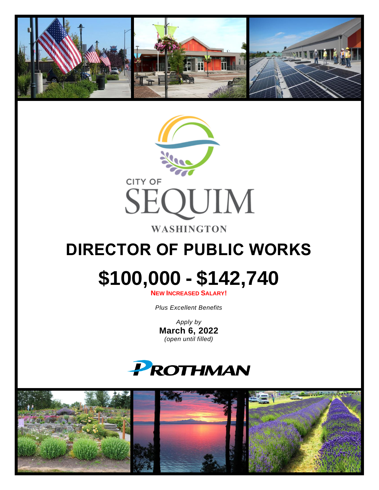



## **DIRECTOR OF PUBLIC WORKS**

# **\$100,000 - \$142,740**

**NEW INCREASED SALARY!**

*Plus Excellent Benefits*

*Apply by* **March 6, 2022** *(open until filled)*



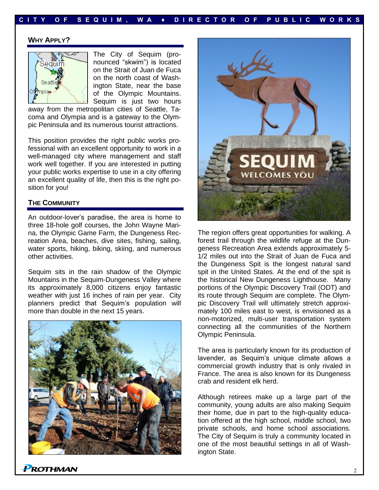#### **WHY APPLY?**



The City of Sequim (pronounced "skwim") is located on the Strait of Juan de Fuca on the north coast of Washington State, near the base of the Olympic Mountains. Sequim is just two hours

away from the metropolitan cities of Seattle, Tacoma and Olympia and is a gateway to the Olympic Peninsula and its numerous tourist attractions.

This position provides the right public works professional with an excellent opportunity to work in a well-managed city where management and staff work well together. If you are interested in putting your public works expertise to use in a city offering an excellent quality of life, then this is the right position for you!

#### **THE COMMUNITY**

An outdoor-lover's paradise, the area is home to three 18-hole golf courses, the John Wayne Marina, the Olympic Game Farm, the Dungeness Recreation Area, beaches, dive sites, fishing, sailing, water sports, hiking, biking, skiing, and numerous other activities.

Sequim sits in the rain shadow of the Olympic Mountains in the Sequim-Dungeness Valley where its approximately 8,000 citizens enjoy fantastic weather with just 16 inches of rain per year. City planners predict that Sequim's population will more than double in the next 15 years.





The region offers great opportunities for walking. A forest trail through the wildlife refuge at the Dungeness Recreation Area extends approximately 5- 1/2 miles out into the Strait of Juan de Fuca and the Dungeness Spit is the longest natural sand spit in the United States. At the end of the spit is the historical New Dungeness Lighthouse. Many portions of the Olympic Discovery Trail (ODT) and its route through Sequim are complete. The Olympic Discovery Trail will ultimately stretch approximately 100 miles east to west, is envisioned as a non-motorized, multi-user transportation system connecting all the communities of the Northern Olympic Peninsula.

The area is particularly known for its production of lavender, as Sequim's unique climate allows a commercial growth industry that is only rivaled in France. The area is also known for its Dungeness crab and resident elk herd.

Although retirees make up a large part of the community, young adults are also making Sequim their home, due in part to the high-quality education offered at the high school, middle school, two private schools, and home school associations. The City of Sequim is truly a community located in one of the most beautiful settings in all of Washington State.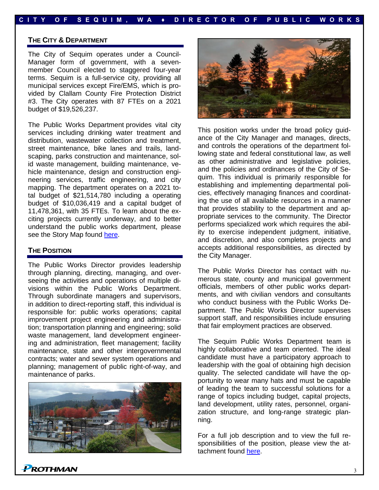#### **THE CITY & DEPARTMENT**

The City of Sequim operates under a Council-Manager form of government, with a sevenmember Council elected to staggered four-year terms. Sequim is a full-service city, providing all municipal services except Fire/EMS, which is provided by Clallam County Fire Protection District #3. The City operates with 87 FTEs on a 2021 budget of \$19,526,237.

The Public Works Department provides vital city services including drinking water treatment and distribution, wastewater collection and treatment, street maintenance, bike lanes and trails, landscaping, parks construction and maintenance, solid waste management, building maintenance, vehicle maintenance, design and construction engineering services, traffic engineering, and city mapping. The department operates on a 2021 total budget of \$21,514,780 including a operating budget of \$10,036,419 and a capital budget of 11,478,361, with 35 FTEs. To learn about the exciting projects currently underway, and to better understand the public works department, please see the Story Map found [here.](https://storymaps.arcgis.com/stories/7df4f83e686f4c02bd1a1e089ab5f392)

#### **THE POSITION**

The Public Works Director provides leadership through planning, directing, managing, and overseeing the activities and operations of multiple divisions within the Public Works Department. Through subordinate managers and supervisors, in addition to direct-reporting staff, this individual is responsible for: public works operations; capital improvement project engineering and administration; transportation planning and engineering; solid waste management, land development engineering and administration, fleet management; facility maintenance, state and other intergovernmental contracts; water and sewer system operations and planning; management of public right-of-way, and maintenance of parks.





This position works under the broad policy guidance of the City Manager and manages, directs, and controls the operations of the department following state and federal constitutional law, as well as other administrative and legislative policies, and the policies and ordinances of the City of Sequim. This individual is primarily responsible for establishing and implementing departmental policies, effectively managing finances and coordinating the use of all available resources in a manner that provides stability to the department and appropriate services to the community. The Director performs specialized work which requires the ability to exercise independent judgment, initiative, and discretion, and also completes projects and accepts additional responsibilities, as directed by the City Manager.

The Public Works Director has contact with numerous state, county and municipal government officials, members of other public works departments, and with civilian vendors and consultants who conduct business with the Public Works Department. The Public Works Director supervises support staff, and responsibilities include ensuring that fair employment practices are observed.

The Sequim Public Works Department team is highly collaborative and team oriented. The ideal candidate must have a participatory approach to leadership with the goal of obtaining high decision quality. The selected candidate will have the opportunity to wear many hats and must be capable of leading the team to successful solutions for a range of topics including budget, capital projects, land development, utility rates, personnel, organization structure, and long-range strategic planning.

For a full job description and to view the full responsibilities of the position, please view the attachment found [here.](https://prothman.com/JobFiles/2918/Public%20Works%20Director%20Job%20Description.pdf)